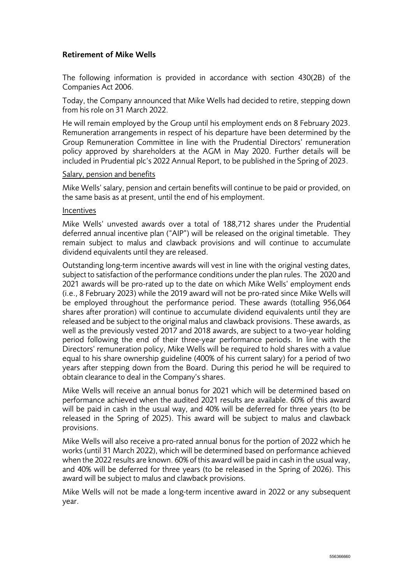## Retirement of Mike Wells

The following information is provided in accordance with section 430(2B) of the Companies Act 2006.

Today, the Company announced that Mike Wells had decided to retire, stepping down from his role on 31 March 2022.

He will remain employed by the Group until his employment ends on 8 February 2023. Remuneration arrangements in respect of his departure have been determined by the Group Remuneration Committee in line with the Prudential Directors' remuneration policy approved by shareholders at the AGM in May 2020. Further details will be included in Prudential plc's 2022 Annual Report, to be published in the Spring of 2023.

## Salary, pension and benefits

Mike Wells' salary, pension and certain benefits will continue to be paid or provided, on the same basis as at present, until the end of his employment.

## Incentives

Mike Wells' unvested awards over a total of 188,712 shares under the Prudential deferred annual incentive plan ("AIP") will be released on the original timetable. They remain subject to malus and clawback provisions and will continue to accumulate dividend equivalents until they are released.

Outstanding long-term incentive awards will vest in line with the original vesting dates, subject to satisfaction of the performance conditions under the plan rules. The 2020 and 2021 awards will be pro-rated up to the date on which Mike Wells' employment ends (i.e., 8 February 2023) while the 2019 award will not be pro-rated since Mike Wells will be employed throughout the performance period. These awards (totalling 956,064 shares after proration) will continue to accumulate dividend equivalents until they are released and be subject to the original malus and clawback provisions. These awards, as well as the previously vested 2017 and 2018 awards, are subject to a two-year holding period following the end of their three-year performance periods. In line with the Directors' remuneration policy, Mike Wells will be required to hold shares with a value equal to his share ownership guideline (400% of his current salary) for a period of two years after stepping down from the Board. During this period he will be required to obtain clearance to deal in the Company's shares.

Mike Wells will receive an annual bonus for 2021 which will be determined based on performance achieved when the audited 2021 results are available. 60% of this award will be paid in cash in the usual way, and 40% will be deferred for three years (to be released in the Spring of 2025). This award will be subject to malus and clawback provisions.

Mike Wells will also receive a pro-rated annual bonus for the portion of 2022 which he works (until 31 March 2022), which will be determined based on performance achieved when the 2022 results are known. 60% of this award will be paid in cash in the usual way, and 40% will be deferred for three years (to be released in the Spring of 2026). This award will be subject to malus and clawback provisions.

Mike Wells will not be made a long-term incentive award in 2022 or any subsequent year.